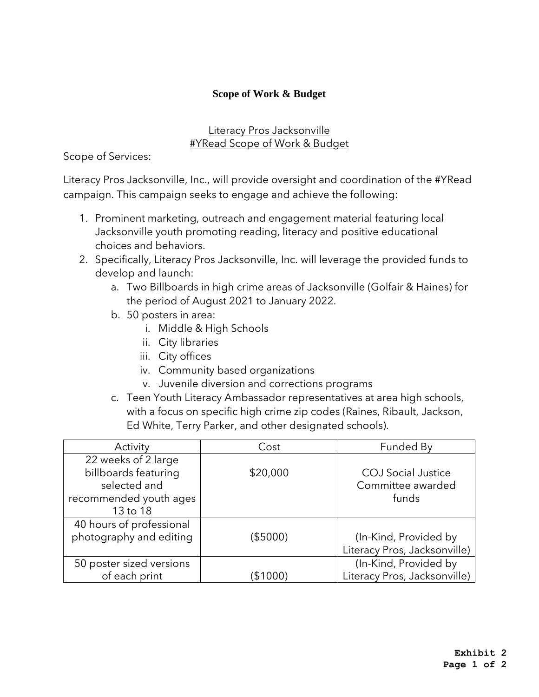# **Scope of Work & Budget**

## Literacy Pros Jacksonville #YRead Scope of Work & Budget

## Scope of Services:

Literacy Pros Jacksonville, Inc., will provide oversight and coordination of the #YRead campaign. This campaign seeks to engage and achieve the following:

- 1. Prominent marketing, outreach and engagement material featuring local Jacksonville youth promoting reading, literacy and positive educational choices and behaviors.
- 2. Specifically, Literacy Pros Jacksonville, Inc. will leverage the provided funds to develop and launch:
	- a. Two Billboards in high crime areas of Jacksonville (Golfair & Haines) for the period of August 2021 to January 2022.
	- b. 50 posters in area:
		- i. Middle & High Schools
		- ii. City libraries
		- iii. City offices
		- iv. Community based organizations
		- v. Juvenile diversion and corrections programs
	- c. Teen Youth Literacy Ambassador representatives at area high schools, with a focus on specific high crime zip codes (Raines, Ribault, Jackson, Ed White, Terry Parker, and other designated schools).

| Activity                 | Cost     | Funded By                    |
|--------------------------|----------|------------------------------|
| 22 weeks of 2 large      |          |                              |
| billboards featuring     | \$20,000 | <b>COJ</b> Social Justice    |
| selected and             |          | Committee awarded            |
| recommended youth ages   |          | funds                        |
| 13 to 18                 |          |                              |
| 40 hours of professional |          |                              |
| photography and editing  | (\$5000) | (In-Kind, Provided by        |
|                          |          | Literacy Pros, Jacksonville) |
| 50 poster sized versions |          | (In-Kind, Provided by        |
| of each print            | \$1000   | Literacy Pros, Jacksonville) |